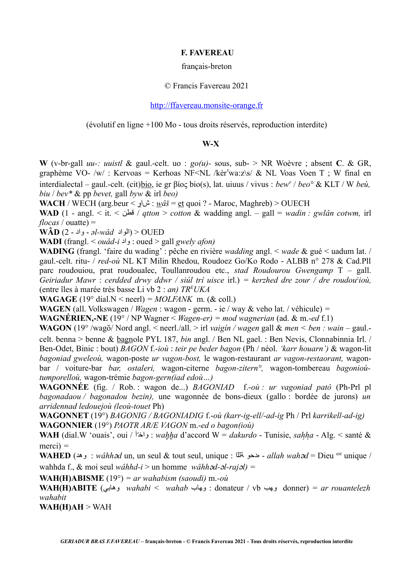## **F. FAVEREAU**

#### français-breton

### © Francis Favereau 2021

## [http://ffavereau.monsite-orange.fr](http://ffavereau.monsite-orange.fr/)

(évolutif en ligne +100 Mo - tous droits réservés, reproduction interdite)

# **W-X**

**W** (v-br-gall *uu-: uuistl* & gaul.-celt. uo : *go(u)-* sous, sub- > NR Woèvre ; absent **C**. & GR, graphème VO- /w/ : Kervoas = Kerhoas NF<NL /kèr<sup>1</sup>wa:z\s/ & NL Voas Voen T ; W final en interdialectal – gaul.-celt. (cit)bio, ie gr βίος bio(s), lat. uiuus / vivus : *bew<sup>e</sup>* / *beo°* & KLT / W *beù, biu* / *bev\** & pp *bevet,* gall *byw* & irl *beo)*

**WACH** / WECH (arg.beur < شاو : *wâš* = et quoi ? - Maroc, Maghreb) > OUECH

**WAD** (1 - angl. < it. < قطن / *qtton* > *cotton* & wadding angl. – gall = *wadin : gwlân cotwm,* irl  $flocas / outate) =$ 

**WÂD** (2 - واد - *əl-wâd* الواد < (OUED

**WADI** (frangl. < *ouâd-i* واد : oued > gall *gwely afon)*

**WADING** (frangl. 'faire du wading' : pêche en rivière *wadding* angl. < *wade* & gué < uadum lat. / gaul.-celt. ritu- / *red-où* NL KT Milin Rhedou, Roudoez Go/Ko Rodo - ALBB n° 278 & Cad.Pll parc roudouiou, prat roudoualec, Toullanroudou etc., *stad Roudourou Gwengamp* T – gall. *Geiriadur Mawr* : *cerdded drwy ddwr / siúl trí uisce* irl.) *= kerzhed dre zour / dre roudou<sup>z</sup> ioù,* (entre îles à marée très basse Li vb 2 : *an) TR<sup>E</sup>UKA*

**WAGAGE** (19° dial.N < neerl) =  $MOLFANK$  m. (& coll.)

**WAGEN** (all. Volkswagen / *Wagen* : wagon - germ. - ie / way & veho lat. / véhicule) *=*

**WAGNÉRIEN,-NE** (19° / NP Wagner < *Wagen-er) = mod wagnerian* (ad. & m.*-ed* f.1)

**WAGON** (19° /wago/ Nord angl. < neerl./all. > irl *vaigín / wagen* gall & *men < ben : wain* – gaul. celt. benna > benne & bagnole PYL 187, *bin* angl. / Ben NL gael. : Ben Nevis, Clonnabinnia Irl. / Ben-Odet, Binic : bout) *BAGON* f.-*ioù* : *teir pe beder bagon* (Ph / néol. *'karr houarn')* & wagon-lit *bagoniad gweleoù,* wagon-poste *ur vagon-bost,* le wagon-restaurant *ar vagon-restaorant,* wagonbar / voiture-bar *bar, ostaleri,* wagon-citerne *bagon-zitern°,* wagon-tombereau *bagonioùtumporelloù,* wagon-trémie *bagon-gern(iad edoù…)*

**WAGONNÉE** (fig. / Rob. : wagon de...) *BAGONIAD* f.-*où : ur vagoniad patô* (Ph-Prl pl *bagonadaou / bagonadou bezin),* une wagonnée de bons-dieux (gallo : bordée de jurons) *un arridennad ledouejoù (leoù-touet* Ph)

**WAGONNET** (19°) *BAGONIG / BAGONIADIG* f.-*où (karr-ig-ell/-ad-ig* Ph / Prl *karrikell-ad-ig)* **WAGONNIER** (19°) *PAOTR AR/E VAGON* m.-*ed o bagon(ioù)*

**WAH** (dial.W 'ouais', oui / واخّآ : *wahha* d'accord W = *dakurdo* - Tunisie, *sahha* - Alg. < santé & merci) *=*

**WAHED** (وهذ : *wâhhɔd* un, un seul & tout seul, unique : هدحو تتللا - *allah wahɔd* = Dieu <sup>est</sup> unique / wahhda f., & moi seul *wâhhd-i* > un homme *wâhhd-l-rajl) =*

**WAH(H)ABISME** (19°) *= ar wahabism (saoudi)* m.*-où*

**WAH(H)ABITE** (وهابي *wahabi < wahab* وهاب : donateur / vb وهب donner) *= ar rouantelezh wahabit*

**WAH(H)AH** > WAH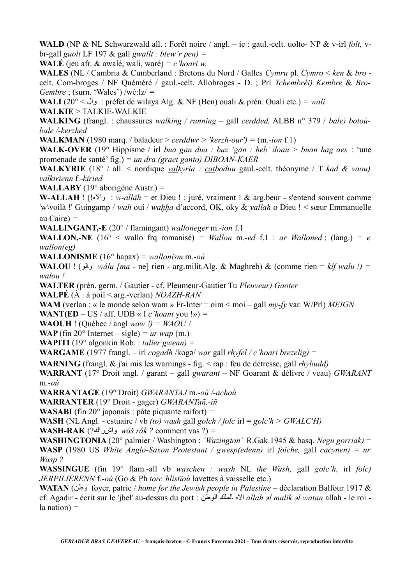**WALD** (NP & NL Schwarzwald all. : Forêt noire / angl. – ie : gaul.-celt. uolto- NP & v-irl *folt,* vbr-gall *guolt* LF 197 & gall *gwallt : blew'r pen) =* 

**WALÉ** (jeu afr. & awalé, wali, waré) *= c'hoari w.*

**WALES** (NL / Cambria & Cumberland : Bretons du Nord / Galles *Cymru* pl. *Cymro* < *ken* & *bro* celt. Com-broges / NF Quéméré / gaul.-celt. Allobroges - D. ; Prl *Tchembréi) Kembre* & *Bro-Gembre* ; (surn. 'Wales') /wé:lz/ *=* 

**WALI** (20° < وال : préfet de wilaya Alg. & NF (Ben) ouali & prén. Ouali etc.) *= wali*

**WALKIE** > TALKIE-WALKIE

**WALKING** (frangl. : chaussures *walking / running* – gall *cerdded,* ALBB n° 379 / *bale) botoùbale /-kerzhed*

**WALKMAN** (1980 marq. / baladeur > *cerddwr* > 'kerzh-our') =  $(m$ -ion f.1)

**WALK-OVER** (19° Hippisme / irl *bua gan dua : buz 'gan : heb' doan > buan hag aes* : 'une promenade de santé' fig.) *= un dra (graet ganto) DIBOAN-KAER*

**WALKYRIE** (18° / all. < nordique *valkyria : catboduu* gaul.-celt. théonyme / T *kad & vaou) valkirienn* f.*-kiried*

**WALLABY** (19° aborigène Austr.) *=*

**W-ALLAH** ! (!والاه : *w-allâh* = et Dieu ! : juré, vraiment ! & arg.beur - s'entend souvent comme 'w\voilà !' Guingamp / *wah* oui / *wahha* d'accord, OK, oky & *yallah* o Dieu ! < sœur Emmanuelle au Caire) *=*

**WALLINGANT,-E** (20° / flamingant) *walloneger* m.*-ion* f.1

**WALLON,-NE** (16° < wallo frq romanisé) = *Wallon* m.-*ed* f.1 : *ar Walloned*; (lang.) = *e wallon(eg)*

**WALLONISME** (16° hapax) *= wallonism* m.-*où*

**WALOU** ! (والو *wâlu [ma* - ne] rien - arg.milit.Alg. & Maghreb) & (comme rien = *kîf walu !) = walou !*

**WALTER** (prén. germ. / Gautier - cf. Pleumeur-Gautier Tu *Pleuveur) Gaoter*

**WALPÉ** (À : à poil < arg.-verlan) *NOAZH-RAN*

**WAM** (verlan : « le monde selon wam » Fr-Inter = oim < moi – gall *my-fy* var. W/Prl) *MEIGN*

**WANT(ED** – US / aff. UDB « I *c'hoant* you !») =

**WAOUH** ! (Ouébec / angl *waw*  $I$ ) = *WAOU !* 

**WAP** (fin 20 $\textdegree$  Internet – sigle)  $= ur$  wap (m.)

**WAPITI** (19° algonkin Rob. : *talier gwenn) =*

**WARGAME** (1977 frangl. – irl *cogadh* /kogə/ *war* gall *rhyfel / c'hoari brezelig*) =

**WARNING** (frangl. & j'ai mis les warnings - fig. < rap : feu de détresse, gall *rhybudd)*

**WARRANT** (17° Droit angl. / garant – gall *gwarant* – NF Goarant & délivre / veau) *GWARANT* m.-*où*

**WARRANTAGE** (19° Droit) *GWARANTAJ* m.-*où /-achoù*

**WARRANTER** (19° Droit - gager) *GWARANTañ,-iñ*

**WASABI** (fin 20° japonais : pâte piquante raifort) *=*

**WASH** (NL Angl. - estuaire / vb *(to) wash* gall *golch / folc* irl = *golc'h > GWALC'H)*

**WASH-RAK** (?واشراك *wâš râk ?* comment vas ?) *=*

**WASHINGTONIA** (20° palmier / Washington : *'Wazington'* R.Gak 1945 & basq. *Negu gorriak)* = **WASP** (1980 US *White Anglo-Saxon Protestant / gwesp(edenn)* irl *foiche,* gall *cacynen) = ur Wasp ?*

**WASSINGUE** (fin 19° flam.-all vb *waschen : wash* NL *the Wash,* gall *golc'h,* irl *folc) JERPILIERENN* f.-*où* (Go & Ph *torc'hlistïoù* lavettes à vaisselle etc.)

**WATAN** (وطن foyer, patrie / *home for the Jewish people in Palestine* – déclaration Balfour 1917 & cf. Agadir - écrit sur le 'jbel' au-dessus du port : الوطن الملك الاه *allah əl malik əl watan* allah - le roi la nation) *=*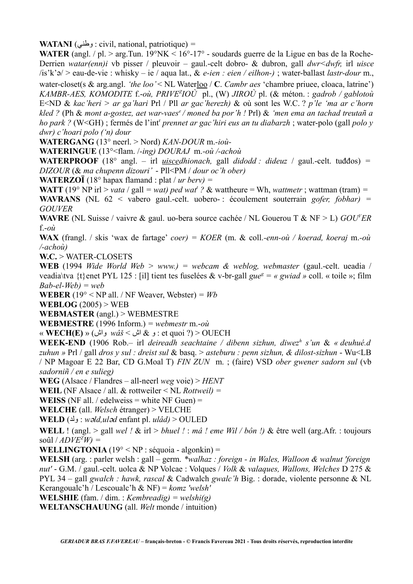**WATANI** (وطني : civil, national, patriotique) *=*

WATER (angl. / pl. > arg.Tun. 19°NK < 16°-17° - soudards guerre de la Ligue en bas de la Roche-Derrien *watar(enn)i* vb pisser / pleuvoir – gaul.-celt dobro- & dubron, gall *dwr<dwfr,* irl *uisce* /is'k'/ > eau-de-vie : whisky – ie / aqua lat., & *e-ien : eien / eilhon-)* ; water-ballast *lastr-dour* m., water-closet(s & arg.angl. 'the loo' < NL Waterloo / C. *Cambr aes* 'chambre priuee, cloaca, latrine') *KAMBR-AES, KOMODITE* f.-*où, PRIVE<sup>Z</sup> IOÙ* pl., (W) *JIROÙ* pl. (& méton. : *gadrob / gablotoù* E<ND & *kac'heri > ar ga'hari* Prl / Pll *ar gac'herezh)* & où sont les W.C. ? *p'le 'ma ar c'horn kled ?* (Ph & *mont a-gostez, aet war-vaes<sup>e</sup>/ moned ba por'h !* Prl) & *'men ema an tachad treutañ a ho park ?* (W<GH) ; fermés de l'int<sup>r</sup> *prennet ar gac'hiri eus an tu diabarzh* ; water-polo (gall *polo y dwr) c'hoari polo ('n) dour*

**WATERGANG** (13° neerl. > Nord) *KAN-DOUR* m.*-ioù-*

**WATERINGUE** (13°<flam. /*-ing) DOURAJ* m.*-où /-achoù*

**WATERPROOF** (18° angl. – irl *uiscedhionach,* gall *didodd : dideuz* / gaul.-celt. tuđđos) *= DIZOUR* (& *ma chupenn dizouri'* - Pll<PM / *dour oc'h ober)*

**WATERZOÏ** (18° hapax flamand : plat / *ur berv) =*

**WATT** (19° NP irl > *vata* / gall = *wat*) *ped wat*<sup>*t*</sup> ? & wattheure = Wh, *wattmetr* ; wattman (tram) = **WAVRANS** (NL 62 < vabero gaul.-celt. uobero- : écoulement souterrain *gofer, fobhar) = GOUVER*

**WAVRE** (NL Suisse / vaivre & gaul. uo-bera source cachée / NL Gouerou T & NF > L) *GOU<sup>V</sup>ER* f.-*où*

**WAX** (frangl. / skis 'wax de fartage' *coer) = KOER* (m. & coll.*-enn-où / koerad, koeraj* m.*-où /-achoù)*

**W.C.** > WATER-CLOSETS

**WEB** (1994 *Wide World Web > www.) = webcam & weblog, webmaster* (gaul.-celt. ueadia / veadia\tva {t}enet PYL 125 : [il] tient tes fuselées & v-br-gall  $gue^g = \alpha gwiad \rightarrow$  coll. « toile »; film *Bab-el-Web) = web*

**WEBER** (19 $\degree$  < NP all. / NF Weaver, Webster) = *Wb* 

**WEBLOG** (2005) > WEB

**WEBMASTER** (angl.) > WEBMESTRE

**WEBMESTRE** (1996 Inform.) *= webmestr* m.-*où*

« **WECH(E)** » (واش *wâš* < اش & و : et quoi ?) > OUECH

**WEEK-END** (1906 Rob.– irl *deireadh seachtaine / dibenn sizhun, diwez<sup>h</sup> s'un* & *« deuhué.d zuhun »* Prl / gall *dros y sul : dreist sul* & basq. > *asteburu : penn sizhun, & dilost-sizhun* - Wu<LB / NP Magoar E 22 Bar, CD G.Moal T) *FIN ZUN* m. ; (faire) VSD *ober gwener sadorn sul* (vb *sadorniñ / en e sulieg)*

**WEG** (Alsace / Flandres – all-neerl *weg* voie) > *HENT*

**WEIL** (NF Alsace / all. & rottweiler < NL *Rottweil) =*

**WEISS** (NF all. / edelweiss = white NF Guen) =

**WELCHE** (all. *Welsch* étranger) > VELCHE

**WELD** (ولد : *wld,uld* enfant pl. *ulâd)* > OULED

**WELL** ! (angl. > gall *wel !* & irl > *bhuel !* : *mâ ! eme Wil / bôn !)* & être well (arg.Afr. : toujours  $\text{soûl} / ADVE^{Z}W =$ 

**WELLINGTONIA**  $(19^{\circ} < NP : s$ équoia - algonkin) =

**WELSH** (arg. : parler welsh : gall – germ. *\*walhaz : foreign - in Wales, Walloon & walnut 'foreign nut'* - G.M. / gaul.-celt. uolca & NP Volcae : Volques / *Volk* & *valaques, Wallons, Welches* D 275 & PYL 34 – gall *gwalch : hawk, rascal* & Cadwalch *gwalc'h* Big. : dorade, violente personne & NL Kerangoualc'h / Lescoualc'h & NF) = *komz 'welsh'*

**WELSHIE** (fam. / dim. : *Kembreadig) = welshi(g)*

**WELTANSCHAUUNG** (all. *Welt* monde / intuition)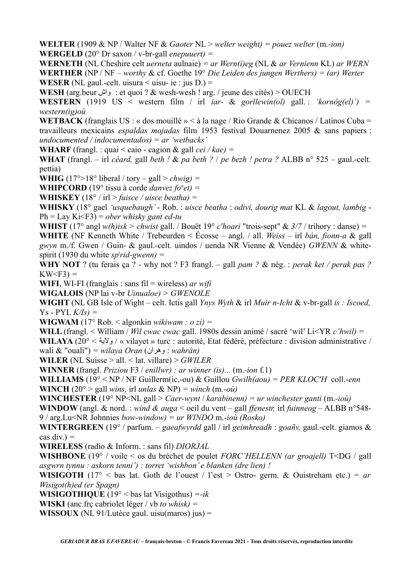**WELTER** (1909 & NP / Walter NF & *Gaoter* NL > *welter weight) = pouez welter* (m.*-ion)* **WERGELD** (20° Dr saxon / v-br-gall *enepuuert) =*

**WERNETH** (NL Cheshire celt *uerneta* aulnaie) *= ar Wern(i)eg* (NL & *ar Vernienn* KL) *ar WERN* **WERTHER** (NP / NF – *worthy* & cf. Goethe 19° *Die Leiden des jungen Werthers) = (ar) Werter* **WESER** (NL gaul.-celt. uisura  $\leq$  uisu- ie : jus D.) =

**WESH** (arg.beur واش : et quoi ? & wesh-wesh ! arg. / jeune des cités) > OUECH

**WESTERN** (1919 US < western film / irl *iar-* & *gorllewin(ol)* gall. : *'kornôg(el)') = western(ig)où*

**WETBACK** (franglais US : « dos mouillé » < à la nage / Rio Grande & Chicanos / Latinos Cuba = travailleurs mexicains *espaldas mojadas* film 1953 festival Douarnenez 2005 & sans papiers : *undocumented / indocumentados) = ar 'wetbacks'* 

**WHARF** (frangl. : quai < caio - cagion & gall *cei / kae) =*

**WHAT** (frangl. – irl *céard,* gall *beth !* & *pa beth ?* / *pe bezh ! petra ?* ALBB n° 525 – gaul.-celt. pettia)

**WHIG**  $(17^{\circ} > 18^{\circ}$  liberal / tory – gall  $>$  *chwig*) =

**WHIPCORD** (19° tissu à corde *danvez fo*<sup>*u</sup>et)* =</sup>

**WHISKEY** (18° / irl > *fuisce / uisce beatha) =*

**WHISKY** (18° gael *'usquebaugh'* - Rob. : *uisce beatha* : *odivi, dourig mat* KL & *lagout, lambig* - Ph = Lay Ki<F3) = *ober whisky gant ed-tu*

**WHIST** (17° angl *w(h)isk > chwist* gall. / Bouët 19° *c'hoari* "trois-sept" & *3/7* / trihory : danse) *=*

**WHITE** (NF Kenneth White / Trebeurden < Écosse – angl. / all. *Weiss* – irl *bán, fionn-a* & gall *gwyn* m./f. Gwen / Guin- & gaul.-celt. uindos / uenda NR Vienne & Vendée) *GWENN* & whitespirit (1930 du white *sp<sup>i</sup> rid-gwenn) =*

**WHY NOT** ? (tu ferais ça ? - why not ? F3 frangl. – gall *pam ?* & nég. : *perak ket / perak pas ?* KW<F3) *=*

**WIFI**, WI-FI (franglais : sans fil = wireless) *ar wifi* 

**WIGALOIS** (NP lai v-br *Uinualoe) > GWENOLE*

**WIGHT** (NL GB Isle of Wight – celt. Ictis gall *Ynys Wyth* & irl *Muir n-Icht* & v-br-gall *is : Iscoed,* Ys - PYL *K/Is) =*

**WIGWAM** (17° Rob. < algonkin *wikiwam : o zi) =*

**WILL** (frangl. < William / *Wil cwac cwac* gall. 1980s dessin animé / sacré 'wil' Li<YR *c'hwil) =*

**WILAYA** (20° < ولاية / » vilayet » turc : autorité, Etat fédéré, préfecture : division administrative / wali & "ouali") *= wilaya Oran* (وهران : *wahrân)*

**WILER** (NL Suisse > all. < lat. villare) > *GWILER*

**WINNER** (frangl. *Priziou* F3 / *enillwr) : ar winner (is)...* (m.*-ion* f.1)

**WILLIAMS** (19° < NP / NF Guillerm(ic,-ou) & Guillou *Gwilh(aou) = PER KLOC'H* coll.-*enn* **WINCH** (20 $\degree$  > gall *wins*, irl *unlas* & NP) = *winch* (m.-*où*)

**WINCHESTER** (19° NP<NL gall > *Caer-wynt* / *karabinenn) = ur winchester ganti* (m.*-ioù)*

**WINDOW** (angl. & nord. : *wind & auga* < oeil du vent – gall *ffenestr,* irl *fuinneog* – ALBB n°548- 9 / arg.Lu<NR Johnnies *bow-window) = ur WINDO* m.-*ioù (Rosko)*

**WINTERGREEN** (19° / parfum. – *gaeafwyrdd* gall / irl *geimhreadh* : *goañv,* gaul.-celt. giamos & cas div.) *=*

**WIRELESS** (radio & Inform. : sans fil) *DIORJAL*

**WISHBONE** (19° / voile < os du bréchet de poulet *FORC'HELLENN (ar groajell)* T<DG / gall *asgwrn tynnu : askorn tenni') : torret 'wishbon' e blanken (dre lien) !*

**WISIGOTH** (17° < bas lat. Goth de l'ouest / l'est > Ostro- germ. & Ouistreham etc.) =  $ar$ *Wisigot(h)ed (er Spagn)*

**WISIGOTHIQUE** (19° < bas lat Visigothus) *=-ik*

**WISKI** (anc.frç cabriolet léger / vb *to whisk) =* 

**WISSOUX** (NL 91/Lutèce gaul. uisu(maros) jus) =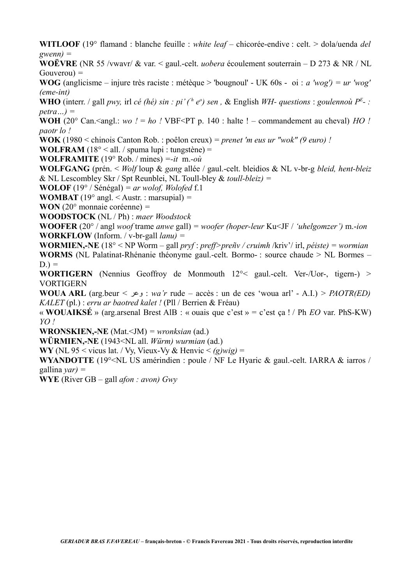**WITLOOF** (19° flamand : blanche feuille : *white leaf* – chicorée-endive : celt. > dola/uenda *del gwenn) =*

**WOËVRE** (NR 55 /vwavr/ & var. < gaul.-celt. *uobera* écoulement souterrain – D 273 & NR / NL Gouverou) *=*

**WOG** (anglicisme – injure très raciste : métèque > 'bougnoul' - UK 60s - oi : *a 'wog') = ur 'wog' (eme-int)*

**WHO** (interr. / gall *pwy,* irl *cé (hé) sin : pi' (<sup>'h</sup> e<sup>o</sup>) sen, & English WH- questions : goulennoù*  $P^E$ *- : petra…) =*

**WOH** (20° Can.<angl.: *wo !* = *ho !* VBF<PT p. 140 : halte ! – commandement au cheval) *HO ! paotr lo !*

**WOK** (1980 < chinois Canton Rob. : poêlon creux) *= prenet 'm eus ur "wok" (9 euro) !*

**WOLFRAM**  $(18^{\circ} <$  all. / spuma lupi : tungstène) =

**WOLFRAMITE** (19° Rob. / mines) *=-it* m.*-où*

**WOLFGANG** (prén. < *Wolf* loup & *gang* allée / gaul.-celt. bleidios & NL v-br-g *bleid, hent-bleiz* & NL Lescombley Skr / Spt Reunblei, NL Toull-bley & *toull-bleiz) =*

**WOLOF** (19° / Sénégal) *= ar wolof, Wolofed* f.1

**WOMBAT** (19° angl. < Austr. : marsupial) *=*

**WON** (20° monnaie coréenne) *=*

**WOODSTOCK** (NL / Ph) : *maer Woodstock*

**WOOFER** (20° / angl *woof* trame *anwe* gall) *= woofer (hoper-leur* Ku<JF / *'uhelgomzer')* m.-*ion* **WORKFLOW** (Inform. / v-br-gall *lanu) =*

**WORMIEN,-NE** (18° < NP Worm – gall *pryf* : *preff>preñv / cruimh* /kriv'/ irl, *péiste) = wormian* **WORMS** (NL Palatinat-Rhénanie théonyme gaul.-celt. Bormo- : source chaude > NL Bormes –  $D.$ ) =

**WORTIGERN** (Nennius Geoffroy de Monmouth 12°< gaul.-celt. Ver-/Uor-, tigern-) > VORTIGERN

**WOUA ARL** (arg.beur < وعر : *wa'r* rude – accès : un de ces 'woua arl' - A.I.) > *PAOTR(ED) KALET* (pl.) : *erru ar baotred kalet !* (Pll / Berrien & Fréau)

« **WOUAIKSÉ** » (arg.arsenal Brest AlB : « ouais que c'est » = c'est ça ! / Ph *EO* var. PhS-KW) *YO !* 

**WRONSKIEN,-NE** (Mat.<JM) *= wronksian* (ad.)

**WÜRMIEN,-NE** (1943<NL all. *Würm) wurmian* (ad.)

**WY** (NL 95 < vicus lat. / Vy, Vieux-Vy & Henvic  $\leq (g)wig$ ) =

**WYANDOTTE** (19°<NL US amérindien : poule / NF Le Hyaric & gaul.-celt. IARRA & iarros / gallina *yar) =*

**WYE** (River GB – gall *afon : avon) Gwy*